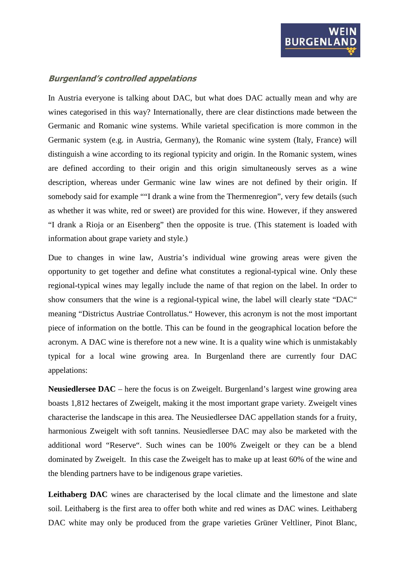## **Burgenland's controlled appelations**

In Austria everyone is talking about DAC, but what does DAC actually mean and why are wines categorised in this way? Internationally, there are clear distinctions made between the Germanic and Romanic wine systems. While varietal specification is more common in the Germanic system (e.g. in Austria, Germany), the Romanic wine system (Italy, France) will distinguish a wine according to its regional typicity and origin. In the Romanic system, wines are defined according to their origin and this origin simultaneously serves as a wine description, whereas under Germanic wine law wines are not defined by their origin. If somebody said for example ""I drank a wine from the Thermenregion", very few details (such as whether it was white, red or sweet) are provided for this wine. However, if they answered "I drank a Rioja or an Eisenberg" then the opposite is true. (This statement is loaded with information about grape variety and style.)

Due to changes in wine law, Austria's individual wine growing areas were given the opportunity to get together and define what constitutes a regional-typical wine. Only these regional-typical wines may legally include the name of that region on the label. In order to show consumers that the wine is a regional-typical wine, the label will clearly state "DAC" meaning "Districtus Austriae Controllatus." However, this acronym is not the most important piece of information on the bottle. This can be found in the geographical location before the acronym. A DAC wine is therefore not a new wine. It is a quality wine which is unmistakably typical for a local wine growing area. In Burgenland there are currently four DAC appelations:

**Neusiedlersee DAC** – here the focus is on Zweigelt. Burgenland's largest wine growing area boasts 1,812 hectares of Zweigelt, making it the most important grape variety. Zweigelt vines characterise the landscape in this area. The Neusiedlersee DAC appellation stands for a fruity, harmonious Zweigelt with soft tannins. Neusiedlersee DAC may also be marketed with the additional word "Reserve". Such wines can be 100% Zweigelt or they can be a blend dominated by Zweigelt. In this case the Zweigelt has to make up at least 60% of the wine and the blending partners have to be indigenous grape varieties.

Leithaberg DAC wines are characterised by the local climate and the limestone and slate soil. Leithaberg is the first area to offer both white and red wines as DAC wines. Leithaberg DAC white may only be produced from the grape varieties Grüner Veltliner, Pinot Blanc,